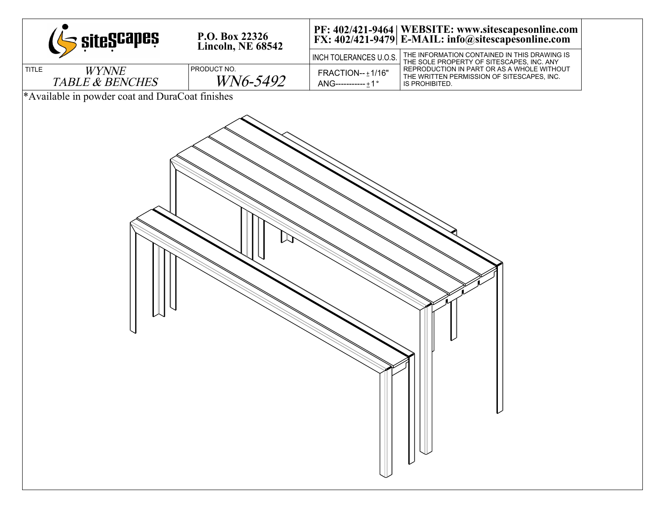